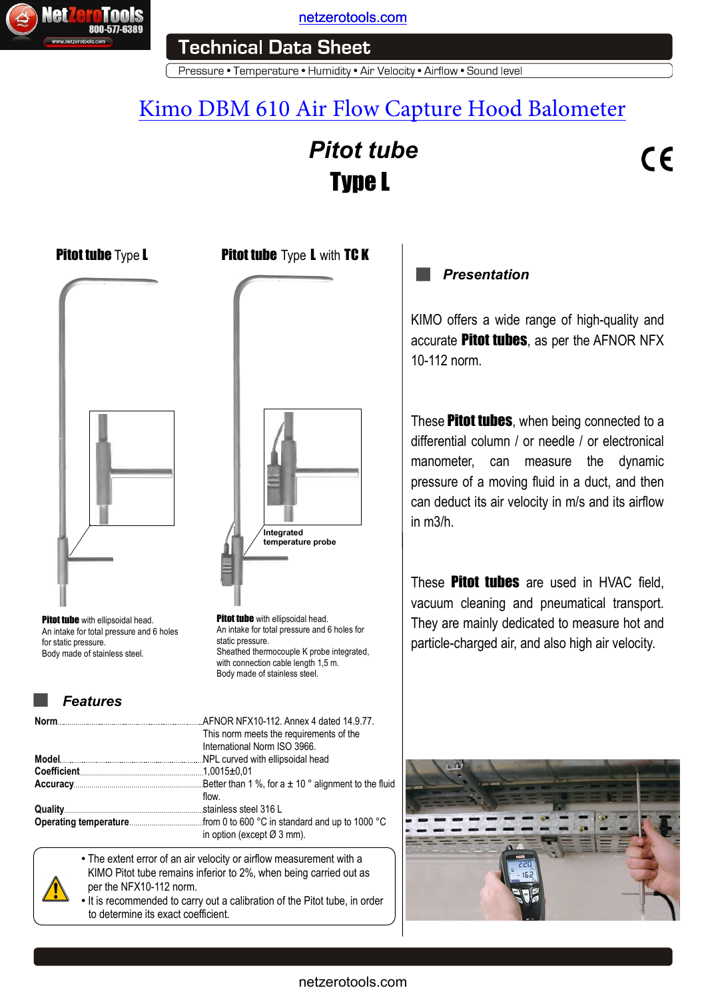

[netzerotools.com](http://www.netzerotools.com)

Pressure • Temperature • Humidity • Air Velocity • Airflow • Sound level

# [Kimo DBM 610 Air Flow Capture Hood Balometer](http://www.netzerotools.com/kimo-dbm-610-balometer-airflow-meter)

# *Pitot tube* Type L

# $C\epsilon$





## *Features*

| <b>800-577-6389</b><br>www.netzerotools.com                                                                                                   | <b>Technical Data Sheet</b><br>Pressure • Temperature • Humidity • Air Veloci                                                                                                                                                                                        |
|-----------------------------------------------------------------------------------------------------------------------------------------------|----------------------------------------------------------------------------------------------------------------------------------------------------------------------------------------------------------------------------------------------------------------------|
|                                                                                                                                               | Kimo DBM 610 Air Flow Ca<br>Pitot tub<br><b>Type L</b>                                                                                                                                                                                                               |
| Pitot tube Type L                                                                                                                             | <b>Pitot tube</b> Type <b>L</b> with TC K                                                                                                                                                                                                                            |
| <b>Pitot tube</b> with ellipsoidal head.<br>An intake for total pressure and 6 holes<br>for static pressure.<br>Body made of stainless steel. | Integrated<br>temperature probe<br><b>Pitot tube</b> with ellipsoidal head.<br>An intake for total pressure and 6 holes for<br>static pressure.<br>Sheathed thermocouple K probe integrated,<br>with connection cable length 1,5 m.<br>Body made of stainless steel. |
| <b>Features</b>                                                                                                                               |                                                                                                                                                                                                                                                                      |
| Norm                                                                                                                                          | AFNOR NFX10-112. Annex 4 dated 14.9.77.<br>This norm meets the requirements of the<br>International Norm ISO 3966.<br>flow.<br>in option (except $\varnothing$ 3 mm).                                                                                                |
| per the NFX10-112 norm.<br>to determine its exact coefficient.                                                                                | • The extent error of an air velocity or airflow measurement with a<br>KIMO Pitot tube remains inferior to 2%, when being carried out as<br>. It is recommended to carry out a calibration of the Pitot tube, in order                                               |
|                                                                                                                                               | netzerotools.com                                                                                                                                                                                                                                                     |

- The extent error of an air velocity or airflow measurement with a KIMO Pitot tube remains inferior to 2%, when being carried out as per the NFX10-112 norm.
- It is recommended to carry out a calibration of the Pitot tube, in order to determine its exact coefficient.

# *Presentation*

KIMO offers a wide range of high-quality and accurate Pitot tubes, as per the AFNOR NFX 10-112 norm.

These **Pitot tubes**, when being connected to a differential column / or needle / or electronical manometer, can measure the dynamic pressure of a moving fluid in a duct, and then can deduct its air velocity in m/s and its airflow in m3/h.

These **Pitot tubes** are used in HVAC field, vacuum cleaning and pneumatical transport. They are mainly dedicated to measure hot and particle-charged air, and also high air velocity.

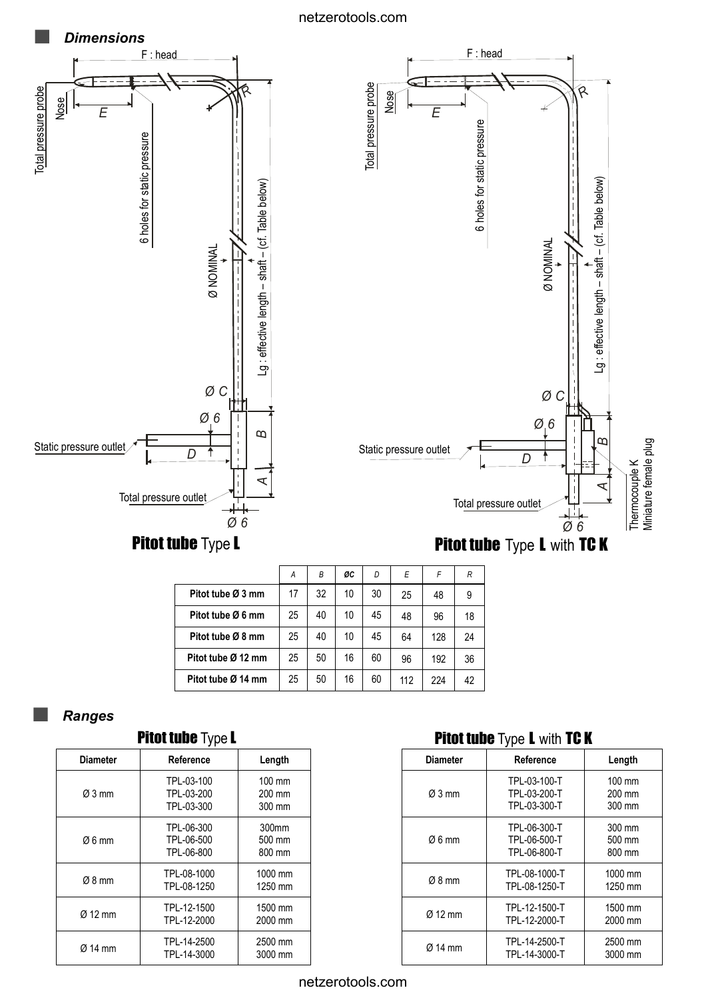#### netzerotools.com



|                    | А  | В  | ØC | D  | E   | F   | R  |
|--------------------|----|----|----|----|-----|-----|----|
| Pitot tube Ø 3 mm  | 17 | 32 | 10 | 30 | 25  | 48  | 9  |
| Pitot tube Ø 6 mm  | 25 | 40 | 10 | 45 | 48  | 96  | 18 |
| Pitot tube Ø 8 mm  | 25 | 40 | 10 | 45 | 64  | 128 | 24 |
| Pitot tube Ø 12 mm | 25 | 50 | 16 | 60 | 96  | 192 | 36 |
| Pitot tube Ø 14 mm | 25 | 50 | 16 | 60 | 112 | 224 | 42 |

## *Ranges*

| <b>Pitot tube Type L</b> |                                        |                                      |  |
|--------------------------|----------------------------------------|--------------------------------------|--|
| <b>Diameter</b>          | Reference                              | Length                               |  |
| Ø3 mm                    | TPL-03-100<br>TPL-03-200<br>TPL-03-300 | $100 \text{ mm}$<br>200 mm<br>300 mm |  |
| Ø6 mm                    | TPL-06-300<br>TPL-06-500<br>TPL-06-800 | 300mm<br>500 mm<br>800 mm            |  |
| $Ø8$ mm                  | TPL-08-1000<br>TPL-08-1250             | 1000 mm<br>1250 mm                   |  |
| Ø 12 mm                  | TPL-12-1500<br>TPL-12-2000             | 1500 mm<br>2000 mm                   |  |
| $\varnothing$ 14 mm      | TPL-14-2500<br>TPL-14-3000             | 2500 mm<br>3000 mm                   |  |

# Pitot tube Type L with TC K

| <b>Diameter</b>    | Reference                                    |                                      |  |
|--------------------|----------------------------------------------|--------------------------------------|--|
| $Ø3$ mm            | TPL-03-100-T<br>TPL-03-200-T<br>TPL-03-300-T | $100 \text{ mm}$<br>200 mm<br>300 mm |  |
| $\varnothing$ 6 mm | TPL-06-300-T<br>TPL-06-500-T<br>TPL-06-800-T | 300 mm<br>500 mm<br>800 mm           |  |
| $Ø8$ mm            | TPL-08-1000-T<br>TPL-08-1250-T               | 1000 mm<br>1250 mm                   |  |
| $Ø$ 12 mm          | TPL-12-1500-T<br>TPL-12-2000-T               | 1500 mm<br>2000 mm                   |  |
| $\alpha$ 14 mm     | TPL-14-2500-T<br>TPL-14-3000-T               | 2500 mm<br>3000 mm                   |  |

netzerotools.com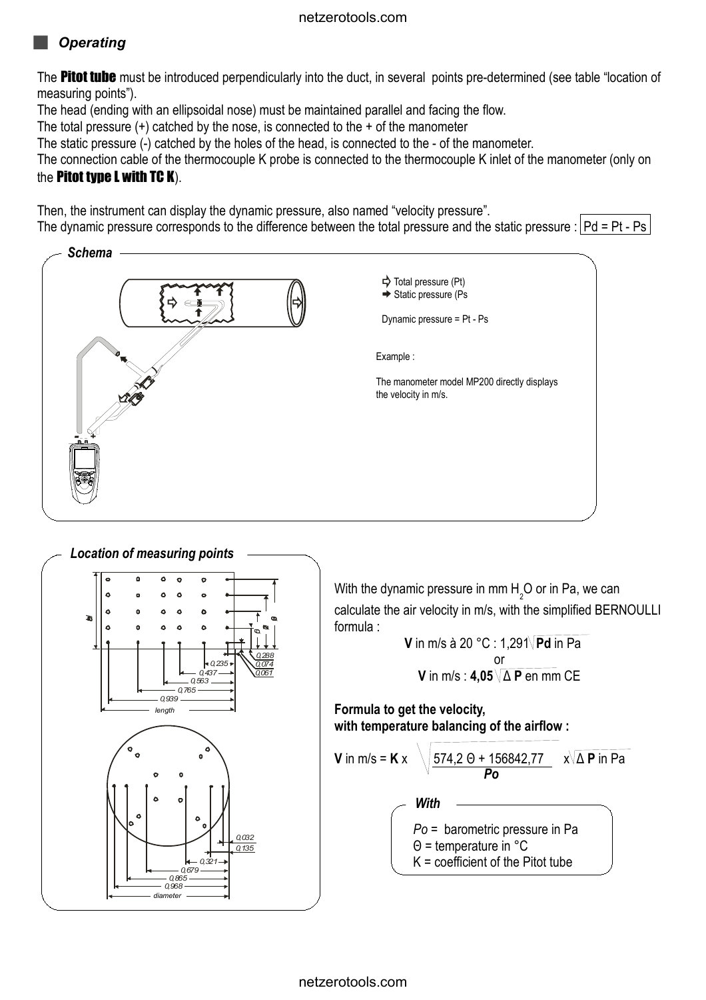# *Operating*

The **Pitot tube** must be introduced perpendicularly into the duct, in several points pre-determined (see table "location of measuring points").

The head (ending with an ellipsoidal nose) must be maintained parallel and facing the flow.

The total pressure  $(+)$  catched by the nose, is connected to the  $+$  of the manometer

The static pressure (-) catched by the holes of the head, is connected to the - of the manometer.

The connection cable of the thermocouple K probe is connected to the thermocouple K inlet of the manometer (only on the Pitot type L with TC K).

Then, the instrument can display the dynamic pressure, also named "velocity pressure".

The dynamic pressure corresponds to the difference between the total pressure and the static pressure :  $Pd = Pt - Ps$